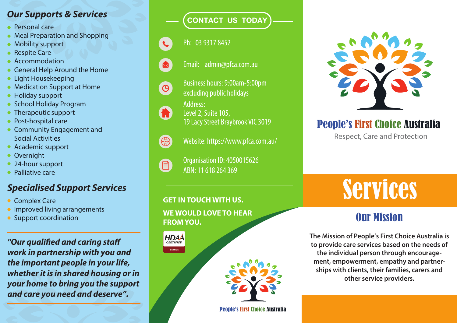# CONTACT US TODAY *Our Supports & Services*

- Personal care
- Meal Preparation and Shopping
- Mobility support
- Respite Care
- Accommodation
- General Help Around the Home
- **Light Housekeeping**
- Medication Support at Home
- Holiday support
- **School Holiday Program**
- Therapeutic support
- Post-hospital care
- **Community Engagement and** Social Activities
- Academic support
- Overnight
- 24-hour support
- Palliative care

### *Specialised Support Services*

- Complex Care
- **Improved living arrangements**
- Support coordination

**"Our qualified and caring staff** *work in partnership with you and the important people in your life, whether it is in shared housing or in your home to bring you the support and care you need and deserve".*

#### Ph: 03 9317 8452



- Email: admin@pfca.com.au
- Business hours: 9:00am-5:00pm excluding public holidays



 $\Theta$ 

Level 2, Suite 105, 19 Lacy Street Braybrook VIC 3019

Address:



 $\mathbf{E}$ 

- Website: https://www.pfca.com.au/
- Organisation ID: 4050015626 ABN: 11 618 264 369

#### **GET INTOUCH WITH US.**

**WE WOULD LOVE TO HEAR FROM YOU.**

#### **HDAA SERVICE**



#### People's First Choice Australia



# People's First Choice Australia

Respect, Care and Protection

# Services

# **Our Mission**

**The Mission of People's First Choice Australia is to provide care services based on the needs of the individual person through encouragement, empowerment, empathy and partnerships with clients, their families, carers and other service providers.**